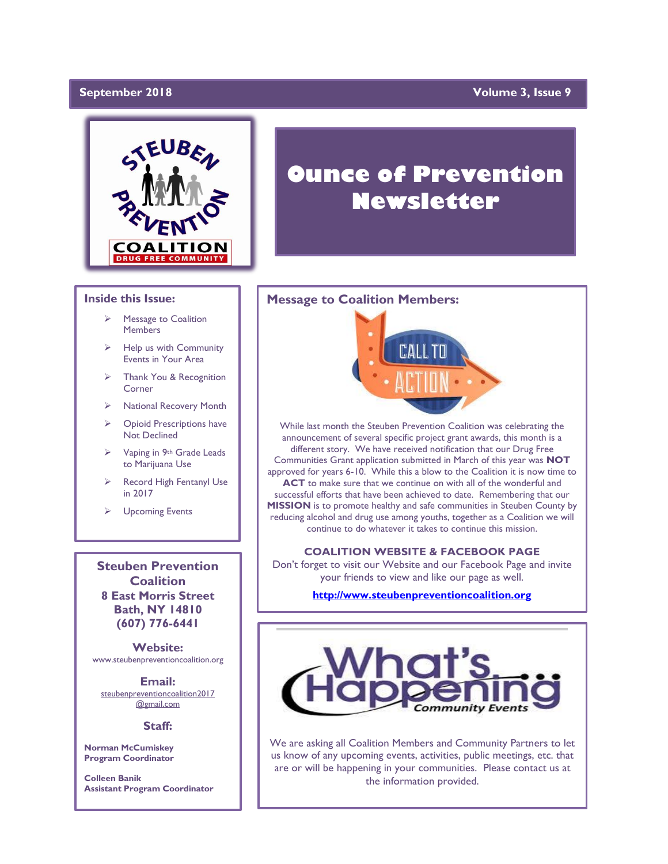## DecemberapriFebruary **September 2018 Volume 3, Issue 9**



#### **Inside this Issue:**

- Message to Coalition Members
- Help us with Community Events in Your Area
- ➢ Thank You & Recognition Corner
- ➢ National Recovery Month
- ➢ Opioid Prescriptions have Not Declined
- ➢ Vaping in 9th Grade Leads to Marijuana Use
- Record High Fentanyl Use in 2017
- ➢ Upcoming Events

**Steuben Prevention Coalition 8 East Morris Street Bath, NY 14810 (607) 776-6441**

**Website:**  www.steubenpreventioncoalition.org

**Email:**  steubenpreventioncoalition2017 @gmail.com

#### **Staff:**

**Norman McCumiskey Program Coordinator**

**Colleen Banik Assistant Program Coordinator**

# **Ounce of Prevention Newsletter**

#### **Message to Coalition Members:**



While last month the Steuben Prevention Coalition was celebrating the announcement of several specific project grant awards, this month is a different story. We have received notification that our Drug Free Communities Grant application submitted in March of this year was **NOT** approved for years 6-10. While this a blow to the Coalition it is now time to **ACT** to make sure that we continue on with all of the wonderful and successful efforts that have been achieved to date. Remembering that our **MISSION** is to promote healthy and safe communities in Steuben County by reducing alcohol and drug use among youths, together as a Coalition we will continue to do whatever it takes to continue this mission.

#### **COALITION WEBSITE & FACEBOOK PAGE**

Don't forget to visit our Website and our Facebook Page and invite your friends to view and like our page as well.

**[http://www.steubenpreventioncoalition.org](http://www.steubenpreventioncoalition.org/)**



We are asking all Coalition Members and Community Partners to let us know of any upcoming events, activities, public meetings, etc. that are or will be happening in your communities. Please contact us at the information provided.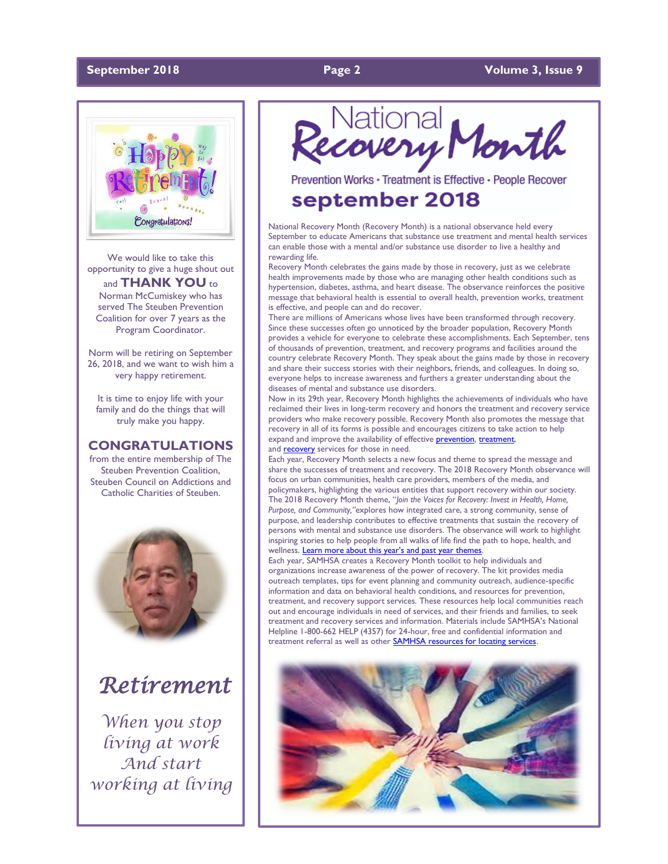#### **September 2018 Page 2 Volume 3, Issue 9**



We would like to take this opportunity to give a huge shout out and **THANK YOU** to Norman McCumiskey who has served The Steuben Prevention Coalition for over 7 years as the Program Coordinator.

Norm will be retiring on September 26, 2018, and we want to wish him a very happy retirement.

It is time to enjoy life with your family and do the things that will truly make you happy.

#### **CONGRATULATIONS**

from the entire membership of The Steuben Prevention Coalition, Steuben Council on Addictions and Catholic Charities of Steuben.



# *Retirement*

*When you stop living at work And start working at living*

# Recovery Month

Prevention Works · Treatment is Effective · People Recover

# september 2018

National Recovery Month (Recovery Month) is a national observance held every September to educate Americans that substance use treatment and mental health services can enable those with a mental and/or substance use disorder to live a healthy and rewarding life.

Recovery Month celebrates the gains made by those in recovery, just as we celebrate health improvements made by those who are managing other health conditions such as hypertension, diabetes, asthma, and heart disease. The observance reinforces the positive message that behavioral health is essential to overall health, prevention works, treatment is effective, and people can and do recover.

There are millions of Americans whose lives have been transformed through recovery. Since these successes often go unnoticed by the broader population, Recovery Month provides a vehicle for everyone to celebrate these accomplishments. Each September, tens of thousands of prevention, treatment, and recovery programs and facilities around the country celebrate Recovery Month. They speak about the gains made by those in recovery and share their success stories with their neighbors, friends, and colleagues. In doing so, everyone helps to increase awareness and furthers a greater understanding about the diseases of mental and substance use disorders.

Now in its 29th year, Recovery Month highlights the achievements of individuals who have reclaimed their lives in long-term recovery and honors the treatment and recovery service providers who make recovery possible. Recovery Month also promotes the message that recovery in all of its forms is possible and encourages citizens to take action to help expand and improve the availability of effective **prevention**, [treatment,](http://www.samhsa.gov/treatment) and **[recovery](http://www.samhsa.gov/recovery)** services for those in need.

Each year, Recovery Month selects a new focus and theme to spread the message and share the successes of treatment and recovery. The 2018 Recovery Month observance will focus on urban communities, health care providers, members of the media, and policymakers, highlighting the various entities that support recovery within our society. The 2018 Recovery Month theme, "*Join the Voices for Recovery: Invest in Health, Home, Purpose, and Community,"*explores how integrated care, a strong community, sense of purpose, and leadership contributes to effective treatments that sustain the recovery of persons with mental and substance use disorders. The observance will work to highlight inspiring stories to help people from all walks of life find the path to hope, health, and wellness. Le[arn more about this year's and past year themes](https://recoverymonth.gov/about/annual-themes)

Each year, SAMHSA creates a Recovery Month toolkit to help individuals and organizations increase awareness of the power of recovery. The kit provides media outreach templates, tips for event planning and community outreach, audience-specific information and data on behavioral health conditions, and resources for prevention, treatment, and recovery support services. These resources help local communities reach out and encourage individuals in need of services, and their friends and families, to seek treatment and recovery services and information. Materials include SAMHSA's National Helpline 1-800-662 HELP (4357) for 24-hour, free and confidential information and treatment referral as well as other **SAMHSA resources for locating services**.

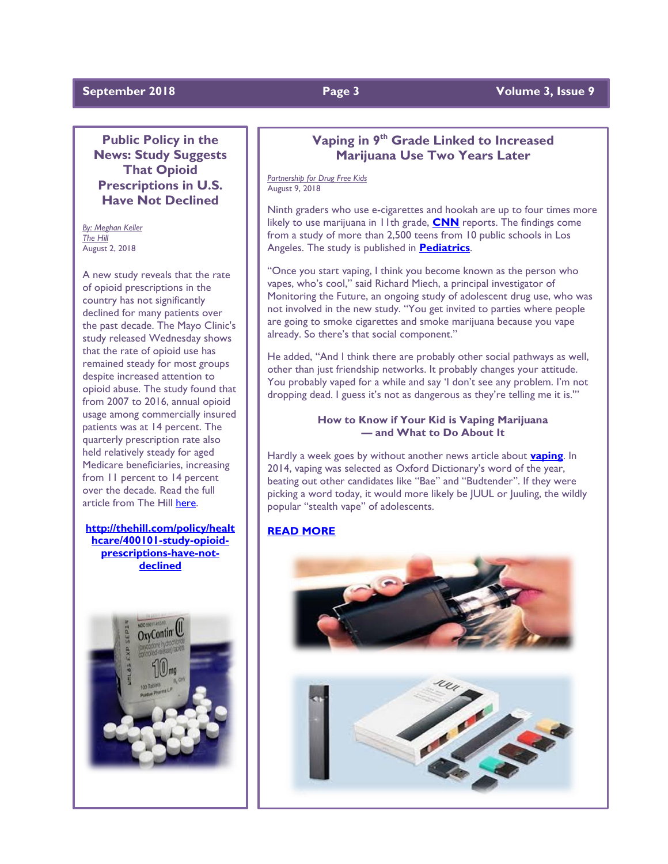## **September 2018 Page 3 Volume 3, Issue 9**

**Public Policy in the News: Study Suggests That Opioid Prescriptions in U.S. Have Not Declined**

*By: Meghan Keller The Hill* August 2, 2018

A new study reveals that the rate of opioid prescriptions in the country has not significantly declined for many patients over the past decade. The Mayo Clinic's study released Wednesday shows that the rate of opioid use has remained steady for most groups despite increased attention to opioid abuse. The study found that from 2007 to 2016, annual opioid usage among commercially insured patients was at 14 percent. The quarterly prescription rate also held relatively steady for aged Medicare beneficiaries, increasing from 11 percent to 14 percent over the decade. Read the full article from The Hill [here.](http://www.mmsend36.com/link.cfm?r=PXFTCIKIY6A9M76tnE-tWQ~~&pe=7-qY1CErpIC_SXO52W67zNYTlz9clEfglhqEGvY2DUNtvdq_JqnVfXgJSgFBuhdyB-dfbeTQsqPgwpz2oK5Zhg~~&t=oJo8EoGGxp2DDkEnTYwEww~~)

**[http://thehill.com/policy/healt](http://thehill.com/policy/healthcare/400101-study-opioid-prescriptions-have-not-declined) [hcare/400101-study-opioid](http://thehill.com/policy/healthcare/400101-study-opioid-prescriptions-have-not-declined)[prescriptions-have-not](http://thehill.com/policy/healthcare/400101-study-opioid-prescriptions-have-not-declined)[declined](http://thehill.com/policy/healthcare/400101-study-opioid-prescriptions-have-not-declined)** 



## **Vaping in 9th Grade Linked to Increased Marijuana Use Two Years Later**

*Partnership for Drug Free Kids* August 9, 2018

Ninth graders who use e-cigarettes and hookah are up to four times more likely to use marijuana in 11th grade, **[CNN](https://www.cnn.com/2018/08/06/health/vape-hookah-marijuana-teens-study/index.html)** reports. The findings come from a study of more than 2,500 teens from 10 public schools in Los Angeles. The study is published in **[Pediatrics](http://pediatrics.aappublications.org/content/early/2018/08/02/peds.2017-3616..info)**.

"Once you start vaping, I think you become known as the person who vapes, who's cool," said Richard Miech, a principal investigator of Monitoring the Future, an ongoing study of adolescent drug use, who was not involved in the new study. "You get invited to parties where people are going to smoke cigarettes and smoke marijuana because you vape already. So there's that social component."

He added, "And I think there are probably other social pathways as well, other than just friendship networks. It probably changes your attitude. You probably vaped for a while and say 'I don't see any problem. I'm not dropping dead. I guess it's not as dangerous as they're telling me it is.'"

#### **How to Know if Your Kid is Vaping Marijuana — and What to Do About It**

Hardly a week goes by without another news article about **[vaping](https://drugfree.org/parent-blog/the-teen-vaping-trend-what-parents-need-to-know/)**. In 2014, vaping was selected as Oxford Dictionary's word of the year, beating out other candidates like "Bae" and "Budtender". If they were picking a word today, it would more likely be JUUL or Juuling, the wildly popular "stealth vape" of adolescents.

## **[READ MORE](https://drugfree.org/parent-blog/know-kid-vaping-marijuana/)**